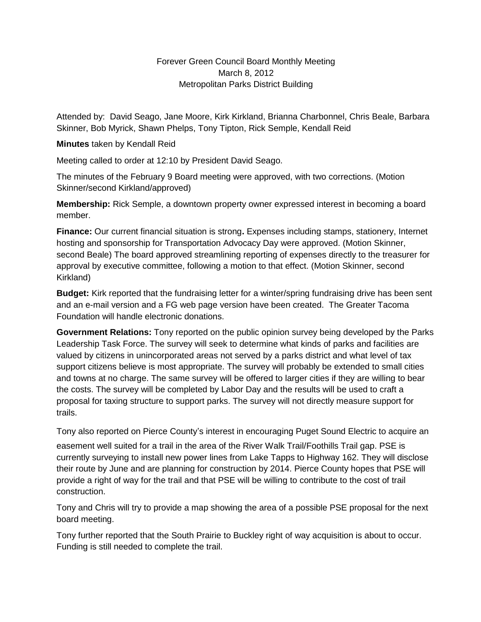## Forever Green Council Board Monthly Meeting March 8, 2012 Metropolitan Parks District Building

Attended by: David Seago, Jane Moore, Kirk Kirkland, Brianna Charbonnel, Chris Beale, Barbara Skinner, Bob Myrick, Shawn Phelps, Tony Tipton, Rick Semple, Kendall Reid

## **Minutes** taken by Kendall Reid

Meeting called to order at 12:10 by President David Seago.

The minutes of the February 9 Board meeting were approved, with two corrections. (Motion Skinner/second Kirkland/approved)

**Membership:** Rick Semple, a downtown property owner expressed interest in becoming a board member.

**Finance:** Our current financial situation is strong**.** Expenses including stamps, stationery, Internet hosting and sponsorship for Transportation Advocacy Day were approved. (Motion Skinner, second Beale) The board approved streamlining reporting of expenses directly to the treasurer for approval by executive committee, following a motion to that effect. (Motion Skinner, second Kirkland)

**Budget:** Kirk reported that the fundraising letter for a winter/spring fundraising drive has been sent and an e-mail version and a FG web page version have been created. The Greater Tacoma Foundation will handle electronic donations.

**Government Relations:** Tony reported on the public opinion survey being developed by the Parks Leadership Task Force. The survey will seek to determine what kinds of parks and facilities are valued by citizens in unincorporated areas not served by a parks district and what level of tax support citizens believe is most appropriate. The survey will probably be extended to small cities and towns at no charge. The same survey will be offered to larger cities if they are willing to bear the costs. The survey will be completed by Labor Day and the results will be used to craft a proposal for taxing structure to support parks. The survey will not directly measure support for trails.

Tony also reported on Pierce County's interest in encouraging Puget Sound Electric to acquire an

easement well suited for a trail in the area of the River Walk Trail/Foothills Trail gap. PSE is currently surveying to install new power lines from Lake Tapps to Highway 162. They will disclose their route by June and are planning for construction by 2014. Pierce County hopes that PSE will provide a right of way for the trail and that PSE will be willing to contribute to the cost of trail construction.

Tony and Chris will try to provide a map showing the area of a possible PSE proposal for the next board meeting.

Tony further reported that the South Prairie to Buckley right of way acquisition is about to occur. Funding is still needed to complete the trail.